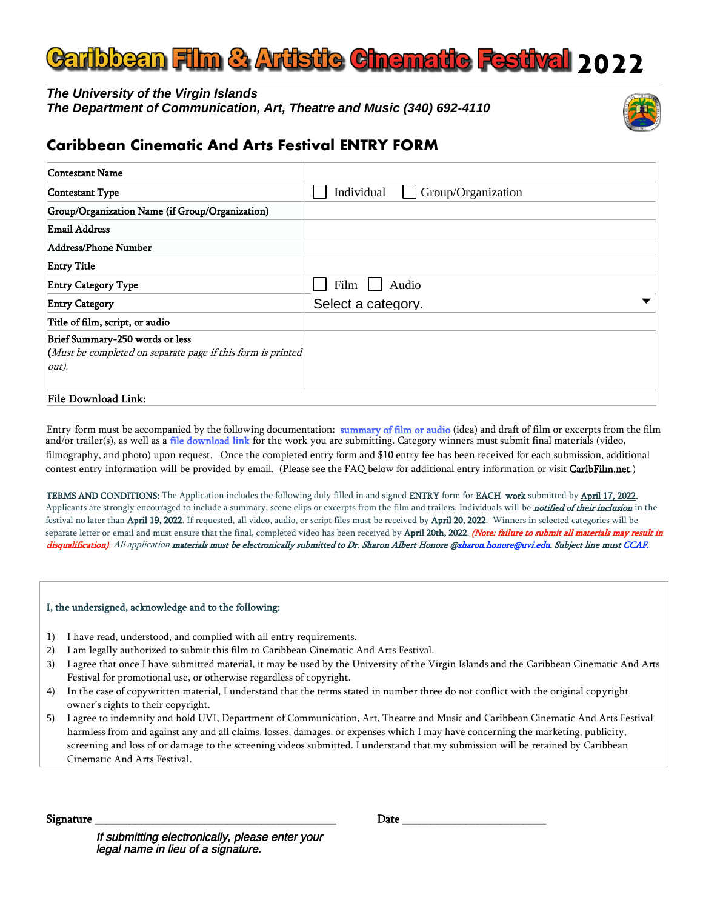# **bbeen Film & Artistic Cinematic Festival 2022**

*The University of the Virgin Islands The Department of Communication, Art, Theatre and Music (340) 692-4110* 



# **Caribbean Cinematic And Arts Festival ENTRY FORM**

| Contestant Name                                                                                                   |                    |       |                    |  |
|-------------------------------------------------------------------------------------------------------------------|--------------------|-------|--------------------|--|
| Contestant Type                                                                                                   | Individual         |       | Group/Organization |  |
| Group/Organization Name (if Group/Organization)                                                                   |                    |       |                    |  |
| <b>Email Address</b>                                                                                              |                    |       |                    |  |
| Address/Phone Number                                                                                              |                    |       |                    |  |
| <b>Entry Title</b>                                                                                                |                    |       |                    |  |
| <b>Entry Category Type</b>                                                                                        | Film               | Audio |                    |  |
| <b>Entry Category</b>                                                                                             | Select a category. |       |                    |  |
| Title of film, script, or audio                                                                                   |                    |       |                    |  |
| Brief Summary-250 words or less<br>(Must be completed on separate page if this form is printed<br>$ out\rangle$ . |                    |       |                    |  |
| File Download Link:                                                                                               |                    |       |                    |  |

Entry-form must be accompanied by the following documentation: summary of film or audio (idea) and draft of film or excerpts from the film and/or trailer(s), as well as a file download link for the work you are submitting. Category winners must submit final materials (video, filmography, and photo) upon request. Once the completed entry form and \$10 entry fee has been received for each submission, additional contest entry information will be provided by email. (Please see the FAQ below for additional entry information or visit CaribFilm.net.)

TERMS AND CONDITIONS: The Application includes the following duly filled in and signed ENTRY form for EACH work submitted by April 17, 2022. Applicants are strongly encouraged to include a summary, scene clips or excerpts from the film and trailers. Individuals will be *notified of their inclusion* in the festival no later than <mark>April 19, 2022</mark>. If requested, all video, audio, or script files must be received by **April 20, 2022**. Winners in selected categories will be separate letter or email and must ensure that the final, completed video has been received by **April 20th, 2022**. *(Note: failure to submit all materials may result in* disqualification). All application materials must be electronically submitted to Dr. Sharon Albert Honore @sharon.honore@uvi.edu. Subject line must CCAF.

#### I, the undersigned, acknowledge and to the following:

- 1) I have read, understood, and complied with all entry requirements.
- 2) I am legally authorized to submit this film to Caribbean Cinematic And Arts Festival.
- 3) I agree that once I have submitted material, it may be used by the University of the Virgin Islands and the Caribbean Cinematic And Arts Festival for promotional use, or otherwise regardless of copyright.
- 4) In the case of copywritten material, I understand that the terms stated in number three do not conflict with the original copyright owner's rights to their copyright.
- 5) I agree to indemnify and hold UVI, Department of Communication, Art, Theatre and Music and Caribbean Cinematic And Arts Festival harmless from and against any and all claims, losses, damages, or expenses which I may have concerning the marketing, publicity, screening and loss of or damage to the screening videos submitted. I understand that my submission will be retained by Caribbean Cinematic And Arts Festival.

Signature \_\_\_\_\_\_\_\_\_\_\_\_\_\_\_\_\_\_\_\_\_\_\_\_\_\_\_\_\_\_\_\_\_\_\_\_\_\_\_\_\_\_ Date \_\_\_\_\_\_\_\_\_\_\_\_\_\_\_\_\_\_\_\_\_\_\_\_\_

If submitting electronically, please enter your legal name in lieu of a signature.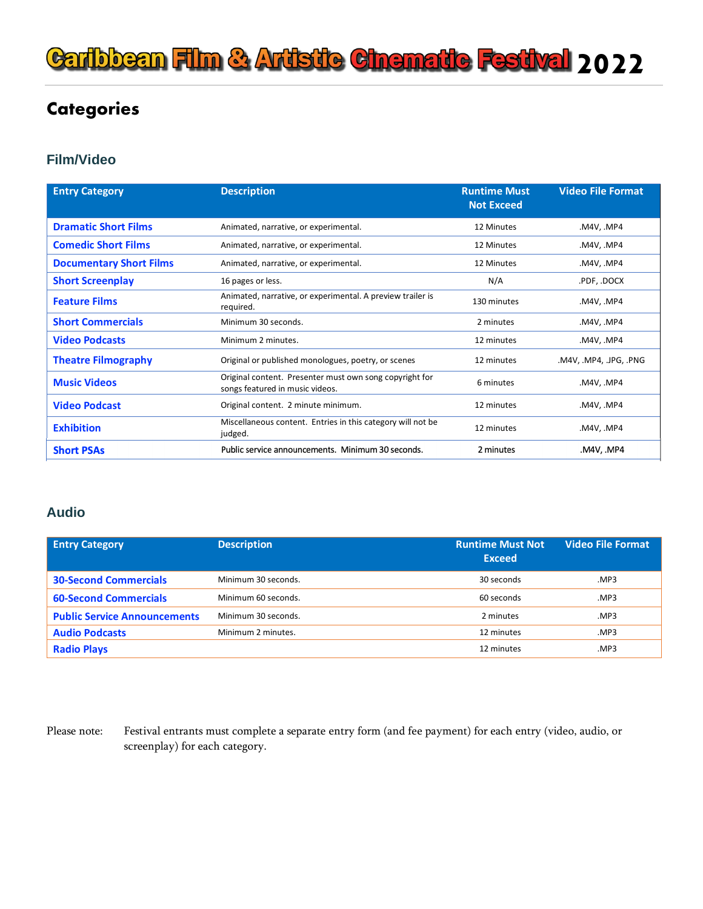# **Caribbean Film & Artistic Cinematic Festival 2022**

# **Categories**

## **Film/Video**

| <b>Entry Category</b>          | <b>Description</b>                                                                         | <b>Runtime Must</b><br><b>Not Exceed</b> | <b>Video File Format</b> |
|--------------------------------|--------------------------------------------------------------------------------------------|------------------------------------------|--------------------------|
| <b>Dramatic Short Films</b>    | Animated, narrative, or experimental.                                                      | 12 Minutes                               | M4V, MP4                 |
| <b>Comedic Short Films</b>     | Animated, narrative, or experimental.                                                      | 12 Minutes                               | M4V, MP4.                |
| <b>Documentary Short Films</b> | Animated, narrative, or experimental.                                                      | 12 Minutes                               | M4V, MP4.                |
| <b>Short Screenplay</b>        | 16 pages or less.                                                                          | N/A                                      | .PDF, .DOCX              |
| <b>Feature Films</b>           | Animated, narrative, or experimental. A preview trailer is<br>required.                    | 130 minutes                              | M4V, MP4.                |
| <b>Short Commercials</b>       | Minimum 30 seconds.                                                                        | 2 minutes                                | M4V, MP4                 |
| <b>Video Podcasts</b>          | Minimum 2 minutes.                                                                         | 12 minutes                               | .M4V, .MP4               |
| <b>Theatre Filmography</b>     | Original or published monologues, poetry, or scenes                                        | 12 minutes                               | .M4V, .MP4, .JPG, .PNG   |
| <b>Music Videos</b>            | Original content. Presenter must own song copyright for<br>songs featured in music videos. | 6 minutes                                | M4V, MP4.                |
| <b>Video Podcast</b>           | Original content. 2 minute minimum.                                                        | 12 minutes                               | M4V, MP4.                |
| <b>Exhibition</b>              | Miscellaneous content. Entries in this category will not be<br>judged.                     | 12 minutes                               | M4V, MP4                 |
| <b>Short PSAs</b>              | Public service announcements. Minimum 30 seconds.                                          | 2 minutes                                | M4V, .MP4                |

### **Audio**

| <b>Entry Category</b>               | <b>Description</b>  | <b>Runtime Must Not</b><br><b>Exceed</b> | <b>Video File Format</b> |
|-------------------------------------|---------------------|------------------------------------------|--------------------------|
| <b>30-Second Commercials</b>        | Minimum 30 seconds. | 30 seconds                               | .MP3                     |
| <b>60-Second Commercials</b>        | Minimum 60 seconds. | 60 seconds                               | .MP3                     |
| <b>Public Service Announcements</b> | Minimum 30 seconds. | 2 minutes                                | .MP3                     |
| <b>Audio Podcasts</b>               | Minimum 2 minutes.  | 12 minutes                               | .MP3                     |
| <b>Radio Plays</b>                  |                     | 12 minutes                               | MP3.                     |

Please note: Festival entrants must complete a separate entry form (and fee payment) for each entry (video, audio, or screenplay) for each category.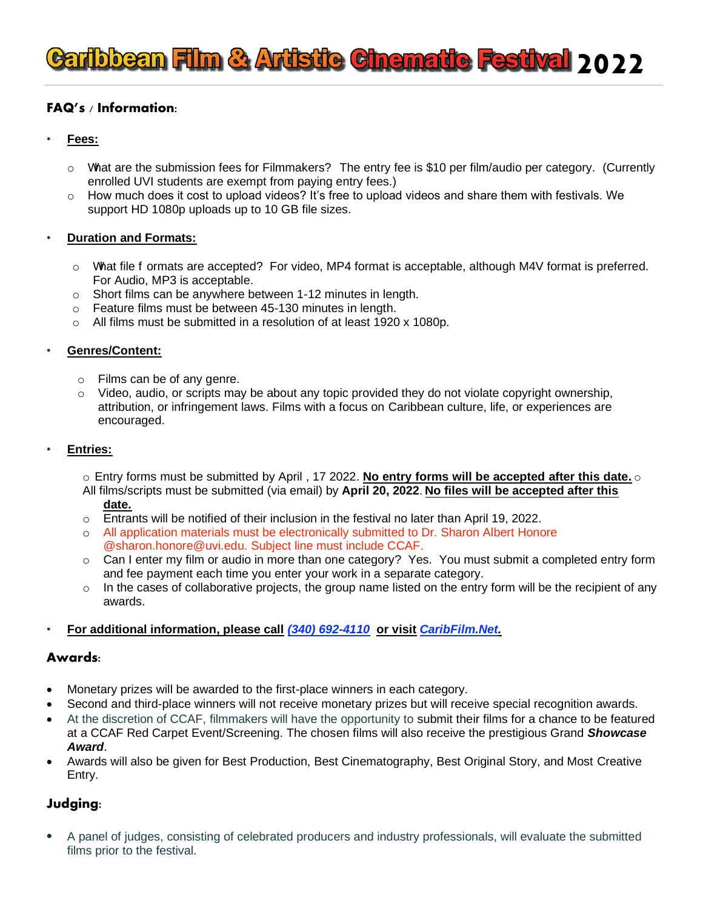# **Caribbean Film & Artistic Cinematic Festival 2022**

### **FAQ's / Information:**

- **Fees:**
	- o What are the submission fees for Filmmakers? The entry fee is \$10 per film/audio per category. (Currently enrolled UVI students are exempt from paying entry fees.)
	- o How much does it cost to upload videos? It's free to upload videos and share them with festivals. We support HD 1080p uploads up to 10 GB file sizes.

#### • **Duration and Formats:**

- o What file f ormats are accepted? For video, MP4 format is acceptable, although M4V format is preferred. For Audio, MP3 is acceptable.
- o Short films can be anywhere between 1-12 minutes in length.
- Feature films must be between 45-130 minutes in length.
- o All films must be submitted in a resolution of at least 1920 x 1080p.

#### • **Genres/Content:**

- o Films can be of any genre.
- $\circ$  Video, audio, or scripts may be about any topic provided they do not violate copyright ownership, attribution, or infringement laws. Films with a focus on Caribbean culture, life, or experiences are encouraged.

#### • **Entries:**

o Entry forms must be submitted by April , 17 2022. **No entry forms will be accepted after this date.** o All films/scripts must be submitted (via email) by **April 20, 2022**. **No files will be accepted after this**

- **date.**
- $\circ$  Entrants will be notified of their inclusion in the festival no later than April 19, 2022.
- o All application materials must be electronically submitted to Dr. Sharon Albert Honore @sharon.honore@uvi.edu. Subject line must include CCAF.
- $\circ$  Can I enter my film or audio in more than one category? Yes. You must submit a completed entry form and fee payment each time you enter your work in a separate category.
- $\circ$  In the cases of collaborative projects, the group name listed on the entry form will be the recipient of any awards.

### • **For additional information, please call** *(340) 692-4110* **or visit** *CaribFilm.Net.*

#### **Awards:**

- Monetary prizes will be awarded to the first-place winners in each category.
- Second and third-place winners will not receive monetary prizes but will receive special recognition awards.
- At the discretion of CCAF, filmmakers will have the opportunity to submit their films for a chance to be featured at a CCAF Red Carpet Event/Screening. The chosen films will also receive the prestigious Grand *Showcase Award*.
- Awards will also be given for Best Production, Best Cinematography, Best Original Story, and Most Creative Entry.

### **Judging:**

• A panel of judges, consisting of celebrated producers and industry professionals, will evaluate the submitted films prior to the festival.